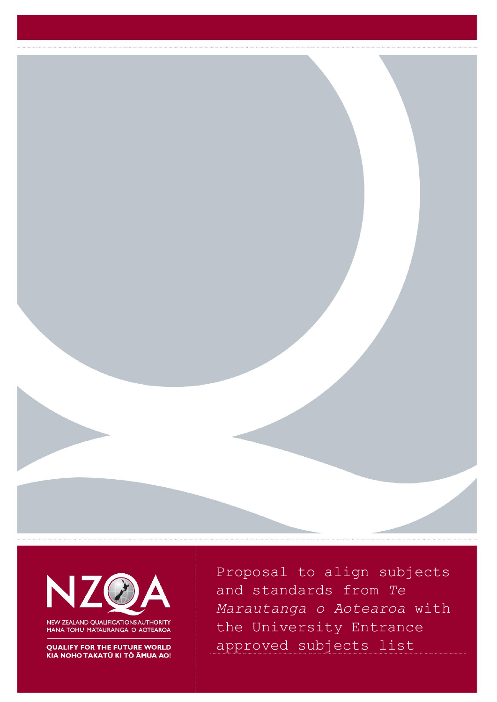



NEW ZEALAND QUALIFICATIONS AUTHORITY MANA TOHU MĀTAURANGA O AOTEAROA

**QUALIFY FOR THE FUTURE WORLD** KIA NOHO TAKATŪ KI TŌ ĀMUA AO!

Proposal to align subjects and standards from *Te Marautanga o Aotearoa* with the University Entrance approved subjects list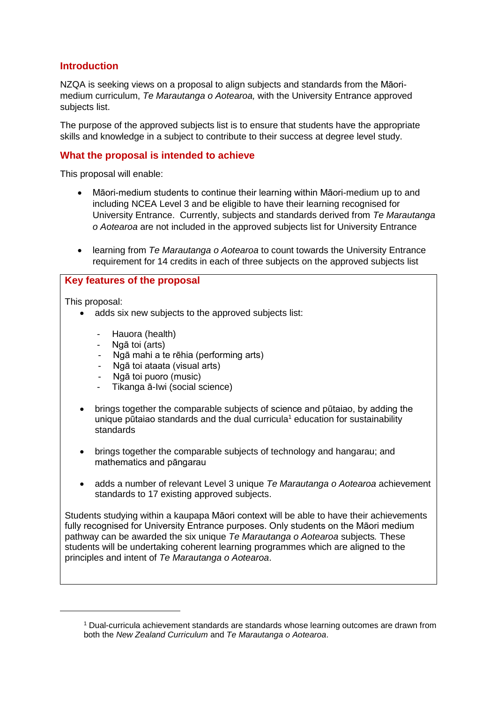# **Introduction**

NZQA is seeking views on a proposal to align subjects and standards from the Māorimedium curriculum, *Te Marautanga o Aotearoa,* with the University Entrance approved subjects list.

The purpose of the approved subjects list is to ensure that students have the appropriate skills and knowledge in a subject to contribute to their success at degree level study.

# **What the proposal is intended to achieve**

This proposal will enable:

- Māori-medium students to continue their learning within Māori-medium up to and including NCEA Level 3 and be eligible to have their learning recognised for University Entrance. Currently, subjects and standards derived from *Te Marautanga o Aotearoa* are not included in the approved subjects list for University Entrance
- learning from *Te Marautanga o Aotearoa* to count towards the University Entrance requirement for 14 credits in each of three subjects on the approved subjects list

#### **Key features of the proposal**

This proposal:

1

- adds six new subjects to the approved subjects list:
	- Hauora (health)
	- Ngā toi (arts)
	- Ngā mahi a te rēhia (performing arts)
	- Ngā toi ataata (visual arts)
	- Ngā toi puoro (music)
	- Tikanga ā-Iwi (social science)
- brings together the comparable subjects of science and pūtaiao, by adding the unique pūtaiao standards and the dual curricula<sup>1</sup> education for sustainability standards
- brings together the comparable subjects of technology and hangarau; and mathematics and pāngarau
- adds a number of relevant Level 3 unique *Te Marautanga o Aotearoa* achievement standards to 17 existing approved subjects.

Students studying within a kaupapa Māori context will be able to have their achievements fully recognised for University Entrance purposes. Only students on the Māori medium pathway can be awarded the six unique *Te Marautanga o Aotearoa* subjects*.* These students will be undertaking coherent learning programmes which are aligned to the principles and intent of *Te Marautanga o Aotearoa*.

<sup>1</sup> Dual-curricula achievement standards are standards whose learning outcomes are drawn from both the *New Zealand Curriculum* and *Te Marautanga o Aotearoa*.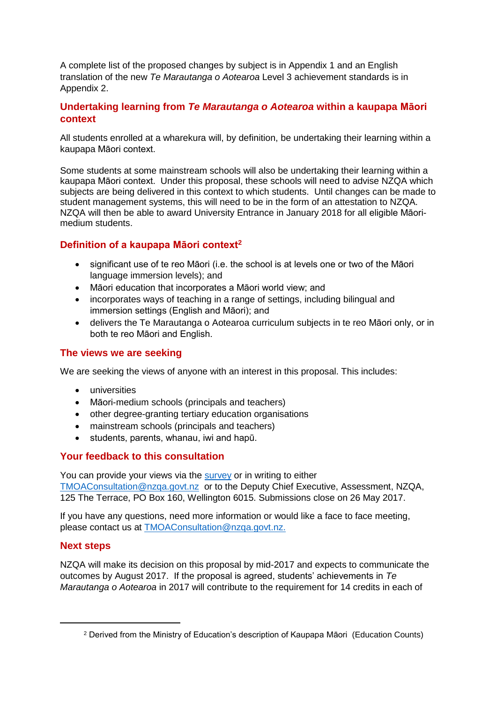A complete list of the proposed changes by subject is in Appendix 1 and an English translation of the new *Te Marautanga o Aotearoa* Level 3 achievement standards is in Appendix 2.

# **Undertaking learning from** *Te Marautanga o Aotearoa* **within a kaupapa Māori context**

All students enrolled at a wharekura will, by definition, be undertaking their learning within a kaupapa Māori context.

Some students at some mainstream schools will also be undertaking their learning within a kaupapa Māori context. Under this proposal, these schools will need to advise NZQA which subjects are being delivered in this context to which students. Until changes can be made to student management systems, this will need to be in the form of an attestation to NZQA. NZQA will then be able to award University Entrance in January 2018 for all eligible Māorimedium students.

# **Definition of a kaupapa Māori context<sup>2</sup>**

- significant use of te reo Māori (i.e. the school is at levels one or two of the Māori language immersion levels); and
- Māori education that incorporates a Māori world view; and
- incorporates ways of teaching in a range of settings, including bilingual and immersion settings (English and Māori); and
- delivers the Te Marautanga o Aotearoa curriculum subjects in te reo Māori only, or in both te reo Māori and English.

# **The views we are seeking**

We are seeking the views of anyone with an interest in this proposal. This includes:

- universities
- Māori-medium schools (principals and teachers)
- other degree-granting tertiary education organisations
- mainstream schools (principals and teachers)
- students, parents, whanau, iwi and hapū.

# **Your feedback to this consultation**

You can provide your views via the [survey](http://www.nzqa.govt.nz/about-us/consultations-and-reviews/aligning-te-marautanga-o-aotearoa-with-ue/feedback-in-english/) or in writing to either [TMOAConsultation@nzqa.govt.nz](mailto:TMOAConsultation@nzqa.govt.nz) or to the Deputy Chief Executive, Assessment, NZQA, 125 The Terrace, PO Box 160, Wellington 6015. Submissions close on 26 May 2017.

If you have any questions, need more information or would like a face to face meeting, please contact us at [TMOAConsultation@nzqa.govt.nz.](mailto:TMOAConsultation@nzqa.govt.nz)

# **Next steps**

**.** 

NZQA will make its decision on this proposal by mid-2017 and expects to communicate the outcomes by August 2017. If the proposal is agreed, students' achievements in *Te Marautanga o Aotearoa* in 2017 will contribute to the requirement for 14 credits in each of

<sup>2</sup> Derived from the Ministry of Education's description of Kaupapa Māori (Education Counts)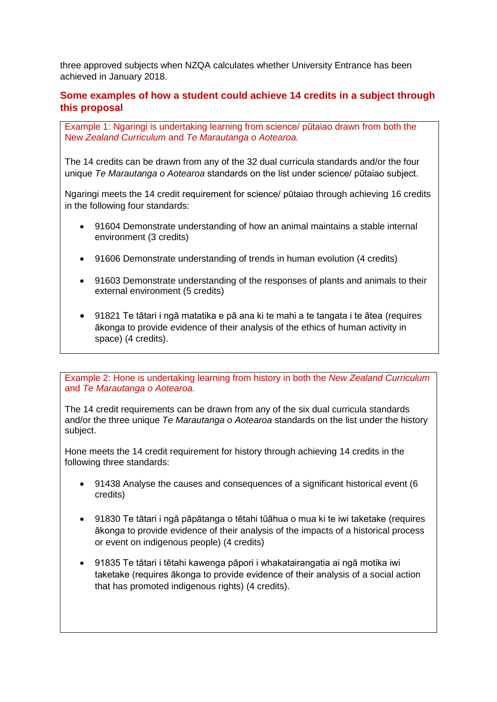three approved subjects when NZQA calculates whether University Entrance has been achieved in January 2018.

# **Some examples of how a student could achieve 14 credits in a subject through this proposal**

Example 1: Ngaringi is undertaking learning from science/ pūtaiao drawn from both the New *Zealand Curriculum* and *Te Marautanga o Aotearoa.*

The 14 credits can be drawn from any of the 32 dual curricula standards and/or the four unique *Te Marautanga o Aotearoa* standards on the list under science/ pūtaiao subject.

Ngaringi meets the 14 credit requirement for science/ pūtaiao through achieving 16 credits in the following four standards:

- 91604 Demonstrate understanding of how an animal maintains a stable internal environment (3 credits)
- 91606 Demonstrate understanding of trends in human evolution (4 credits)
- 91603 Demonstrate understanding of the responses of plants and animals to their external environment (5 credits)
- 91821 Te tātari i ngā matatika e pā ana ki te mahi a te tangata i te ātea (requires ākonga to provide evidence of their analysis of the ethics of human activity in space) (4 credits).

Example 2: Hone is undertaking learning from history in both the *New Zealand Curriculum* and *Te Marautanga o Aotearoa.*

The 14 credit requirements can be drawn from any of the six dual curricula standards and/or the three unique *Te Marautanga o Aotearoa* standards on the list under the history subject.

Hone meets the 14 credit requirement for history through achieving 14 credits in the following three standards:

- 91438 Analyse the causes and consequences of a significant historical event (6 credits)
- 91830 Te tātari i ngā pāpātanga o tētahi tūāhua o mua ki te iwi taketake (requires ākonga to provide evidence of their analysis of the impacts of a historical process or event on indigenous people) (4 credits)
- 91835 Te tātari i tētahi kawenga pāpori i whakatairangatia ai ngā motika iwi taketake (requires ākonga to provide evidence of their analysis of a social action that has promoted indigenous rights) (4 credits).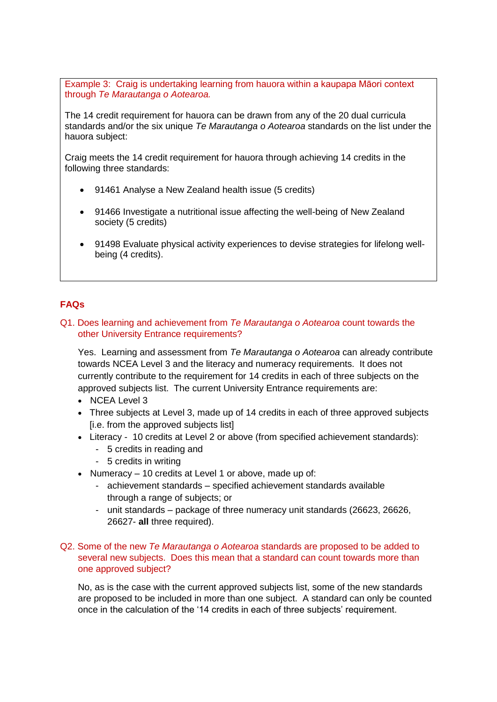Example 3: Craig is undertaking learning from hauora within a kaupapa Māori context through *Te Marautanga o Aotearoa.*

The 14 credit requirement for hauora can be drawn from any of the 20 dual curricula standards and/or the six unique *Te Marautanga o Aotearoa* standards on the list under the hauora subject:

Craig meets the 14 credit requirement for hauora through achieving 14 credits in the following three standards:

- 91461 Analyse a New Zealand health issue (5 credits)
- 91466 Investigate a nutritional issue affecting the well-being of New Zealand society (5 credits)
- 91498 Evaluate physical activity experiences to devise strategies for lifelong wellbeing (4 credits).

#### **FAQs**

#### Q1. Does learning and achievement from *Te Marautanga o Aotearoa* count towards the other University Entrance requirements?

Yes. Learning and assessment from *Te Marautanga o Aotearoa* can already contribute towards NCEA Level 3 and the literacy and numeracy requirements. It does not currently contribute to the requirement for 14 credits in each of three subjects on the approved subjects list. The current University Entrance requirements are:

- NCEA Level 3
- Three subjects at Level 3, made up of 14 credits in each of three approved subjects [i.e. from the approved subjects list]
- Literacy 10 credits at Level 2 or above (from specified achievement standards):
	- 5 credits in reading and
	- 5 credits in writing
- Numeracy 10 credits at Level 1 or above, made up of:
	- achievement standards specified achievement standards available through a range of subjects; or
	- unit standards package of three numeracy unit standards (26623, 26626, 26627- **all** three required).

#### Q2. Some of the new *Te Marautanga o Aotearoa* standards are proposed to be added to several new subjects. Does this mean that a standard can count towards more than one approved subject?

No, as is the case with the current approved subjects list, some of the new standards are proposed to be included in more than one subject. A standard can only be counted once in the calculation of the '14 credits in each of three subjects' requirement.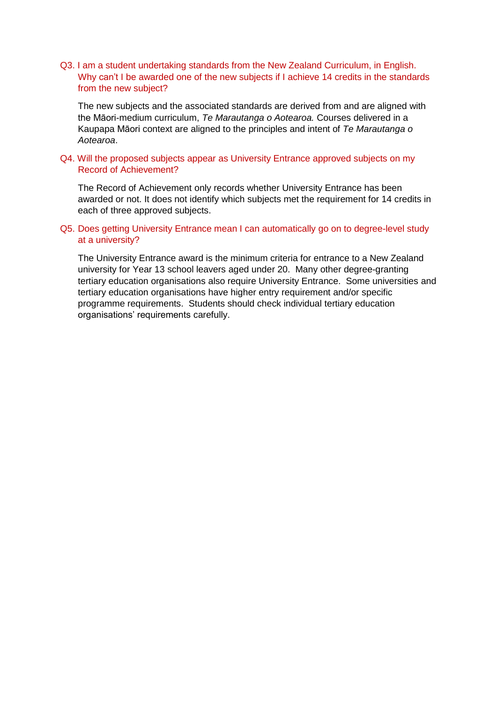#### Q3. I am a student undertaking standards from the New Zealand Curriculum, in English. Why can't I be awarded one of the new subjects if I achieve 14 credits in the standards from the new subject?

The new subjects and the associated standards are derived from and are aligned with the Māori-medium curriculum, *Te Marautanga o Aotearoa.* Courses delivered in a Kaupapa Māori context are aligned to the principles and intent of *Te Marautanga o Aotearoa*.

#### Q4. Will the proposed subjects appear as University Entrance approved subjects on my Record of Achievement?

The Record of Achievement only records whether University Entrance has been awarded or not. It does not identify which subjects met the requirement for 14 credits in each of three approved subjects.

#### Q5. Does getting University Entrance mean I can automatically go on to degree-level study at a university?

The University Entrance award is the minimum criteria for entrance to a New Zealand university for Year 13 school leavers aged under 20. Many other degree-granting tertiary education organisations also require University Entrance. Some universities and tertiary education organisations have higher entry requirement and/or specific programme requirements. Students should check individual tertiary education organisations' requirements carefully.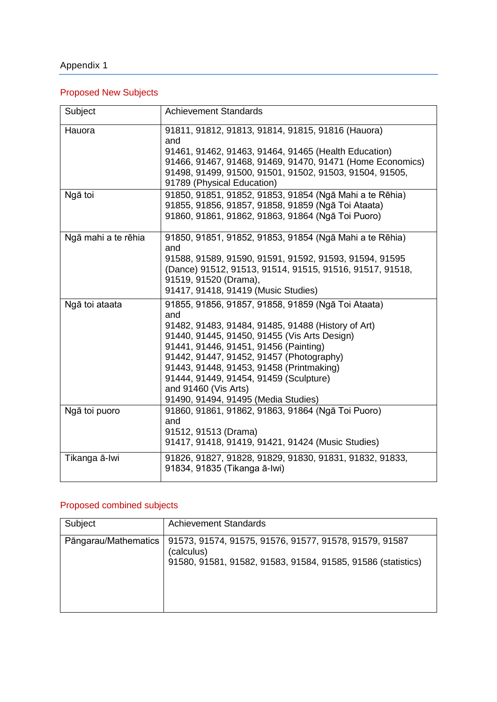# Appendix 1

# Proposed New Subjects

| Subject             | <b>Achievement Standards</b>                                                            |
|---------------------|-----------------------------------------------------------------------------------------|
| Hauora              | 91811, 91812, 91813, 91814, 91815, 91816 (Hauora)<br>and                                |
|                     | 91461, 91462, 91463, 91464, 91465 (Health Education)                                    |
|                     | 91466, 91467, 91468, 91469, 91470, 91471 (Home Economics)                               |
|                     | 91498, 91499, 91500, 91501, 91502, 91503, 91504, 91505,                                 |
|                     | 91789 (Physical Education)                                                              |
| Ngā toi             | 91850, 91851, 91852, 91853, 91854 (Ngā Mahi a te Rēhia)                                 |
|                     | 91855, 91856, 91857, 91858, 91859 (Ngā Toi Ataata)                                      |
|                     | 91860, 91861, 91862, 91863, 91864 (Ngā Toi Puoro)                                       |
| Ngā mahi a te rēhia | 91850, 91851, 91852, 91853, 91854 (Ngā Mahi a te Rēhia)<br>and                          |
|                     | 91588, 91589, 91590, 91591, 91592, 91593, 91594, 91595                                  |
|                     | (Dance) 91512, 91513, 91514, 91515, 91516, 91517, 91518,                                |
|                     | 91519, 91520 (Drama),                                                                   |
|                     | 91417, 91418, 91419 (Music Studies)                                                     |
| Ngā toi ataata      | 91855, 91856, 91857, 91858, 91859 (Ngā Toi Ataata)<br>and                               |
|                     | 91482, 91483, 91484, 91485, 91488 (History of Art)                                      |
|                     | 91440, 91445, 91450, 91455 (Vis Arts Design)                                            |
|                     | 91441, 91446, 91451, 91456 (Painting)                                                   |
|                     | 91442, 91447, 91452, 91457 (Photography)                                                |
|                     | 91443, 91448, 91453, 91458 (Printmaking)                                                |
|                     | 91444, 91449, 91454, 91459 (Sculpture)                                                  |
|                     | and 91460 (Vis Arts)                                                                    |
|                     | 91490, 91494, 91495 (Media Studies)                                                     |
| Ngā toi puoro       | 91860, 91861, 91862, 91863, 91864 (Ngā Toi Puoro)<br>and                                |
|                     | 91512, 91513 (Drama)                                                                    |
|                     | 91417, 91418, 91419, 91421, 91424 (Music Studies)                                       |
| Tikanga ā-Iwi       | 91826, 91827, 91828, 91829, 91830, 91831, 91832, 91833,<br>91834, 91835 (Tikanga ā-Iwi) |

# Proposed combined subjects

| Subject              | <b>Achievement Standards</b>                                                                                                         |
|----------------------|--------------------------------------------------------------------------------------------------------------------------------------|
| Pāngarau/Mathematics | 91573, 91574, 91575, 91576, 91577, 91578, 91579, 91587<br>(calculus)<br>91580, 91581, 91582, 91583, 91584, 91585, 91586 (statistics) |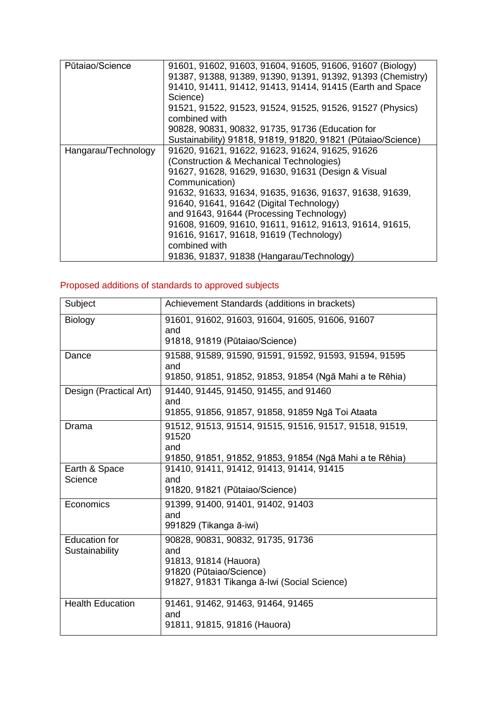| Pūtaiao/Science     | 91601, 91602, 91603, 91604, 91605, 91606, 91607 (Biology)                  |
|---------------------|----------------------------------------------------------------------------|
|                     | 91387, 91388, 91389, 91390, 91391, 91392, 91393 (Chemistry)                |
|                     | 91410, 91411, 91412, 91413, 91414, 91415 (Earth and Space                  |
|                     | Science)                                                                   |
|                     | 91521, 91522, 91523, 91524, 91525, 91526, 91527 (Physics)<br>combined with |
|                     | 90828, 90831, 90832, 91735, 91736 (Education for                           |
|                     | Sustainability) 91818, 91819, 91820, 91821 (Pūtaiao/Science)               |
| Hangarau/Technology | 91620, 91621, 91622, 91623, 91624, 91625, 91626                            |
|                     | (Construction & Mechanical Technologies)                                   |
|                     | 91627, 91628, 91629, 91630, 91631 (Design & Visual                         |
|                     | Communication)                                                             |
|                     | 91632, 91633, 91634, 91635, 91636, 91637, 91638, 91639,                    |
|                     | 91640, 91641, 91642 (Digital Technology)                                   |
|                     | and 91643, 91644 (Processing Technology)                                   |
|                     | 91608, 91609, 91610, 91611, 91612, 91613, 91614, 91615,                    |
|                     | 91616, 91617, 91618, 91619 (Technology)                                    |
|                     | combined with                                                              |
|                     | 91836, 91837, 91838 (Hangarau/Technology)                                  |

# Proposed additions of standards to approved subjects

| Subject                                | Achievement Standards (additions in brackets)                                                                                               |
|----------------------------------------|---------------------------------------------------------------------------------------------------------------------------------------------|
| <b>Biology</b>                         | 91601, 91602, 91603, 91604, 91605, 91606, 91607<br>and<br>91818, 91819 (Pūtaiao/Science)                                                    |
| Dance                                  | 91588, 91589, 91590, 91591, 91592, 91593, 91594, 91595<br>and<br>91850, 91851, 91852, 91853, 91854 (Ngā Mahi a te Rēhia)                    |
| Design (Practical Art)                 | 91440, 91445, 91450, 91455, and 91460<br>and<br>91855, 91856, 91857, 91858, 91859 Ngā Toi Ataata                                            |
| Drama                                  | 91512, 91513, 91514, 91515, 91516, 91517, 91518, 91519,<br>91520<br>and<br>91850, 91851, 91852, 91853, 91854 (Ngā Mahi a te Rēhia)          |
| Earth & Space<br>Science               | 91410, 91411, 91412, 91413, 91414, 91415<br>and<br>91820, 91821 (Pūtaiao/Science)                                                           |
| Economics                              | 91399, 91400, 91401, 91402, 91403<br>and<br>991829 (Tikanga ā-iwi)                                                                          |
| <b>Education for</b><br>Sustainability | 90828, 90831, 90832, 91735, 91736<br>and<br>91813, 91814 (Hauora)<br>91820 (Pūtaiao/Science)<br>91827, 91831 Tikanga ā-Iwi (Social Science) |
| <b>Health Education</b>                | 91461, 91462, 91463, 91464, 91465<br>and<br>91811, 91815, 91816 (Hauora)                                                                    |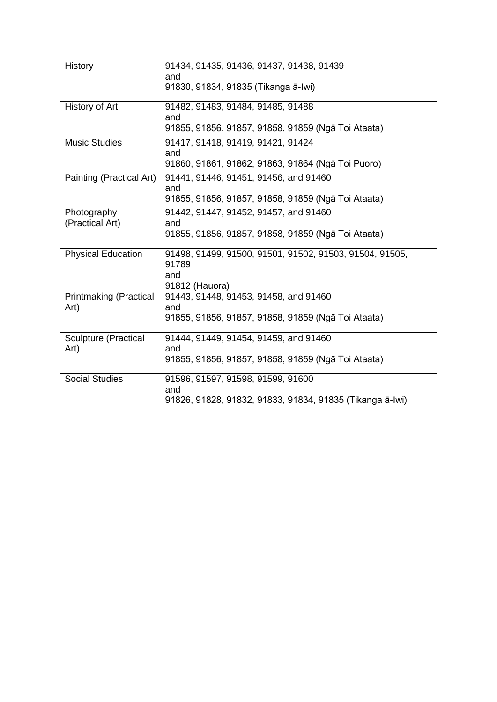| <b>History</b>                        | 91434, 91435, 91436, 91437, 91438, 91439<br>and<br>91830, 91834, 91835 (Tikanga ā-Iwi) |
|---------------------------------------|----------------------------------------------------------------------------------------|
|                                       |                                                                                        |
| History of Art                        | 91482, 91483, 91484, 91485, 91488<br>and                                               |
|                                       | 91855, 91856, 91857, 91858, 91859 (Ngā Toi Ataata)                                     |
| <b>Music Studies</b>                  | 91417, 91418, 91419, 91421, 91424<br>and                                               |
|                                       | 91860, 91861, 91862, 91863, 91864 (Ngā Toi Puoro)                                      |
| Painting (Practical Art)              | 91441, 91446, 91451, 91456, and 91460<br>and                                           |
|                                       | 91855, 91856, 91857, 91858, 91859 (Ngā Toi Ataata)                                     |
| Photography<br>(Practical Art)        | 91442, 91447, 91452, 91457, and 91460<br>and                                           |
|                                       | 91855, 91856, 91857, 91858, 91859 (Ngā Toi Ataata)                                     |
| <b>Physical Education</b>             | 91498, 91499, 91500, 91501, 91502, 91503, 91504, 91505,<br>91789<br>and                |
|                                       | 91812 (Hauora)                                                                         |
| <b>Printmaking (Practical</b><br>Art) | 91443, 91448, 91453, 91458, and 91460<br>and                                           |
|                                       | 91855, 91856, 91857, 91858, 91859 (Ngā Toi Ataata)                                     |
| <b>Sculpture (Practical</b><br>Art)   | 91444, 91449, 91454, 91459, and 91460<br>and                                           |
|                                       | 91855, 91856, 91857, 91858, 91859 (Ngā Toi Ataata)                                     |
| <b>Social Studies</b>                 | 91596, 91597, 91598, 91599, 91600<br>and                                               |
|                                       | 91826, 91828, 91832, 91833, 91834, 91835 (Tikanga ā-Iwi)                               |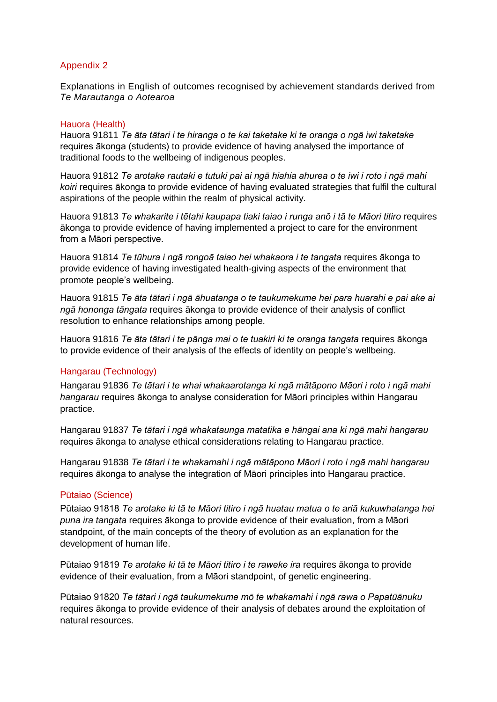#### Appendix 2

Explanations in English of outcomes recognised by achievement standards derived from *Te Marautanga o Aotearoa*

#### Hauora (Health)

Hauora 91811 *Te āta tātari i te hiranga o te kai taketake ki te oranga o ngā iwi taketake*  requires ākonga (students) to provide evidence of having analysed the importance of traditional foods to the wellbeing of indigenous peoples.

Hauora 91812 *Te arotake rautaki e tutuki pai ai ngā hiahia ahurea o te iwi i roto i ngā mahi koiri* requires ākonga to provide evidence of having evaluated strategies that fulfil the cultural aspirations of the people within the realm of physical activity.

Hauora 91813 *Te whakarite i tētahi kaupapa tiaki taiao i runga anō i tā te Māori titiro* requires ākonga to provide evidence of having implemented a project to care for the environment from a Māori perspective.

Hauora 91814 *Te tūhura i ngā rongoā taiao hei whakaora i te tangata* requires ākonga to provide evidence of having investigated health-giving aspects of the environment that promote people's wellbeing.

Hauora 91815 *Te āta tātari i ngā āhuatanga o te taukumekume hei para huarahi e pai ake ai ngā hononga tāngata* requires ākonga to provide evidence of their analysis of conflict resolution to enhance relationships among people.

Hauora 91816 *Te āta tātari i te pānga mai o te tuakiri ki te oranga tangata* requires ākonga to provide evidence of their analysis of the effects of identity on people's wellbeing.

#### Hangarau (Technology)

Hangarau 91836 *Te tātari i te whai whakaarotanga ki ngā mātāpono Māori i roto i ngā mahi hangarau* requires ākonga to analyse consideration for Māori principles within Hangarau practice.

Hangarau 91837 *Te tātari i ngā whakataunga matatika e hāngai ana ki ngā mahi hangarau* requires ākonga to analyse ethical considerations relating to Hangarau practice.

Hangarau 91838 *Te tātari i te whakamahi i ngā mātāpono Māori i roto i ngā mahi hangarau* requires ākonga to analyse the integration of Māori principles into Hangarau practice.

#### Pūtaiao (Science)

Pūtaiao 91818 *Te arotake ki tā te Māori titiro i ngā huatau matua o te ariā kukuwhatanga hei puna ira tangata* requires ākonga to provide evidence of their evaluation, from a Māori standpoint, of the main concepts of the theory of evolution as an explanation for the development of human life.

Pūtaiao 91819 *Te arotake ki tā te Māori titiro i te raweke ira* requires ākonga to provide evidence of their evaluation, from a Māori standpoint, of genetic engineering.

Pūtaiao 91820 *Te tātari i ngā taukumekume mō te whakamahi i ngā rawa o Papatūānuku* requires ākonga to provide evidence of their analysis of debates around the exploitation of natural resources.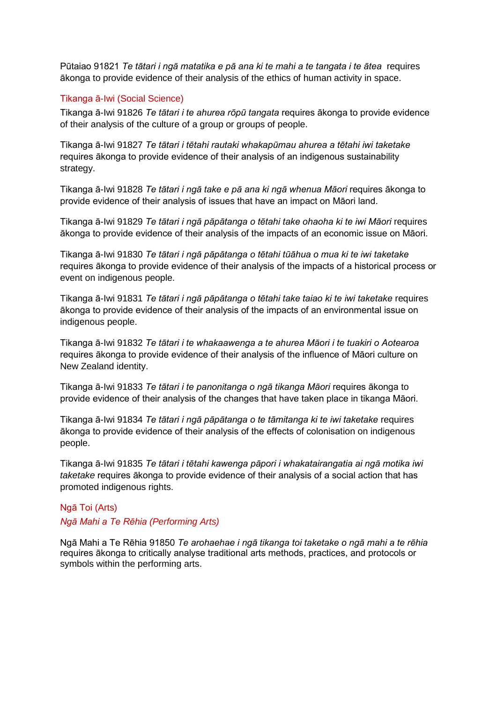Pūtaiao 91821 *Te tātari i ngā matatika e pā ana ki te mahi a te tangata i te ātea* requires ākonga to provide evidence of their analysis of the ethics of human activity in space.

#### Tikanga ā-Iwi (Social Science)

Tikanga ā-Iwi 91826 *Te tātari i te ahurea rōpū tangata* requires ākonga to provide evidence of their analysis of the culture of a group or groups of people.

Tikanga ā-Iwi 91827 *Te tātari i tētahi rautaki whakapūmau ahurea a tētahi iwi taketake* requires ākonga to provide evidence of their analysis of an indigenous sustainability strategy.

Tikanga ā-Iwi 91828 *Te tātari i ngā take e pā ana ki ngā whenua Māori* requires ākonga to provide evidence of their analysis of issues that have an impact on Māori land.

Tikanga ā-Iwi 91829 *Te tātari i ngā pāpātanga o tētahi take ohaoha ki te iwi Māori* requires ākonga to provide evidence of their analysis of the impacts of an economic issue on Māori.

Tikanga ā-Iwi 91830 *Te tātari i ngā pāpātanga o tētahi tūāhua o mua ki te iwi taketake* requires ākonga to provide evidence of their analysis of the impacts of a historical process or event on indigenous people.

Tikanga ā-Iwi 91831 *Te tātari i ngā pāpātanga o tētahi take taiao ki te iwi taketake* requires ākonga to provide evidence of their analysis of the impacts of an environmental issue on indigenous people.

Tikanga ā-Iwi 91832 *Te tātari i te whakaawenga a te ahurea Māori i te tuakiri o Aotearoa* requires ākonga to provide evidence of their analysis of the influence of Māori culture on New Zealand identity.

Tikanga ā-Iwi 91833 *Te tātari i te panonitanga o ngā tikanga Māori* requires ākonga to provide evidence of their analysis of the changes that have taken place in tikanga Māori.

Tikanga ā-Iwi 91834 *Te tātari i ngā pāpātanga o te tāmitanga ki te iwi taketake* requires ākonga to provide evidence of their analysis of the effects of colonisation on indigenous people.

Tikanga ā-Iwi 91835 *Te tātari i tētahi kawenga pāpori i whakatairangatia ai ngā motika iwi taketake* requires ākonga to provide evidence of their analysis of a social action that has promoted indigenous rights.

# Ngā Toi (Arts) *Ngā Mahi a Te Rēhia (Performing Arts)*

Ngā Mahi a Te Rēhia 91850 *Te arohaehae i ngā tikanga toi taketake o ngā mahi a te rēhia*  requires ākonga to critically analyse traditional arts methods, practices, and protocols or symbols within the performing arts.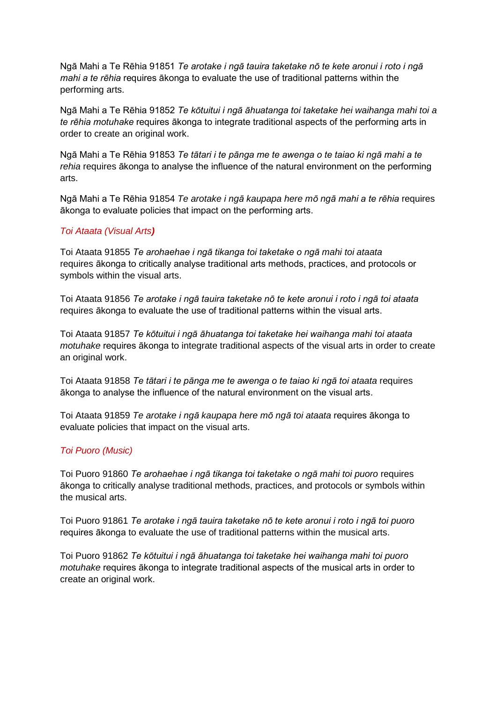Ngā Mahi a Te Rēhia 91851 *Te arotake i ngā tauira taketake nō te kete aronui i roto i ngā mahi a te rēhia* requires ākonga to evaluate the use of traditional patterns within the performing arts.

Ngā Mahi a Te Rēhia 91852 *Te kōtuitui i ngā āhuatanga toi taketake hei waihanga mahi toi a te rēhia motuhake* requires ākonga to integrate traditional aspects of the performing arts in order to create an original work.

Ngā Mahi a Te Rēhia 91853 *Te tātari i te pānga me te awenga o te taiao ki ngā mahi a te rehia* requires ākonga to analyse the influence of the natural environment on the performing arts.

Ngā Mahi a Te Rēhia 91854 *Te arotake i ngā kaupapa here mō ngā mahi a te rēhia* requires ākonga to evaluate policies that impact on the performing arts.

#### *Toi Ataata (Visual Arts)*

Toi Ataata 91855 *Te arohaehae i ngā tikanga toi taketake o ngā mahi toi ataata* requires ākonga to critically analyse traditional arts methods, practices, and protocols or symbols within the visual arts.

Toi Ataata 91856 *Te arotake i ngā tauira taketake nō te kete aronui i roto i ngā toi ataata* requires ākonga to evaluate the use of traditional patterns within the visual arts.

Toi Ataata 91857 *Te kōtuitui i ngā āhuatanga toi taketake hei waihanga mahi toi ataata motuhake* requires ākonga to integrate traditional aspects of the visual arts in order to create an original work.

Toi Ataata 91858 *Te tātari i te pānga me te awenga o te taiao ki ngā toi ataata* requires ākonga to analyse the influence of the natural environment on the visual arts.

Toi Ataata 91859 *Te arotake i ngā kaupapa here mō ngā toi ataata* requires ākonga to evaluate policies that impact on the visual arts.

#### *Toi Puoro (Music)*

Toi Puoro 91860 *Te arohaehae i ngā tikanga toi taketake o ngā mahi toi puoro* requires ākonga to critically analyse traditional methods, practices, and protocols or symbols within the musical arts.

Toi Puoro 91861 *Te arotake i ngā tauira taketake nō te kete aronui i roto i ngā toi puoro* requires ākonga to evaluate the use of traditional patterns within the musical arts.

Toi Puoro 91862 *Te kōtuitui i ngā āhuatanga toi taketake hei waihanga mahi toi puoro motuhake* requires ākonga to integrate traditional aspects of the musical arts in order to create an original work.